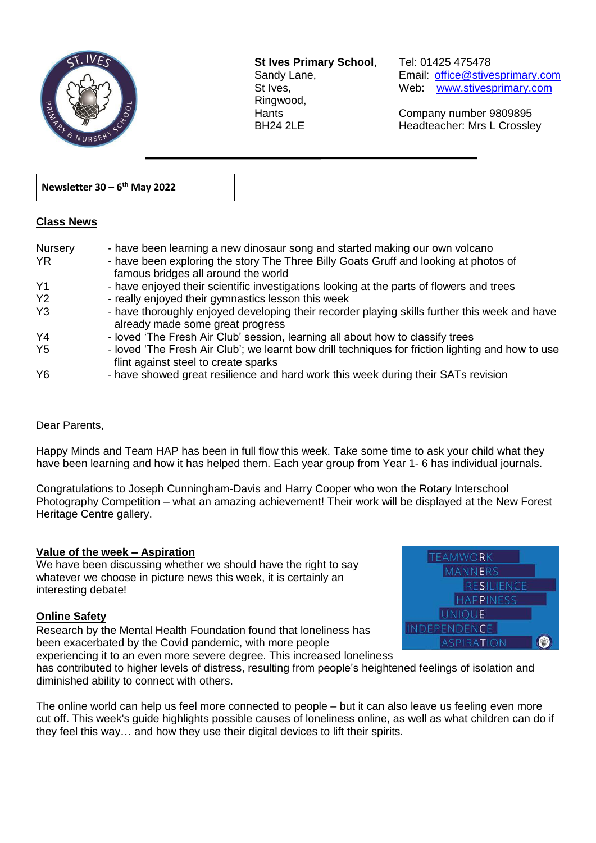

**St Ives Primary School**, Tel: 01425 475478 Ringwood,

 $\overline{a}$ 

Sandy Lane, Email: office@stivesprimary.com St Ives, [www.stivesprimary.com](http://www.stives.dorset.sch.uk/)

Hants Company number 9809895 BH24 2LE Headteacher: Mrs L Crossley

## **Newsletter 30 – 6 th May 2022**

## **Class News**

| Nursery<br><b>YR</b> | - have been learning a new dinosaur song and started making our own volcano<br>- have been exploring the story The Three Billy Goats Gruff and looking at photos of<br>famous bridges all around the world |
|----------------------|------------------------------------------------------------------------------------------------------------------------------------------------------------------------------------------------------------|
| Y <sub>1</sub>       | - have enjoyed their scientific investigations looking at the parts of flowers and trees                                                                                                                   |
| Y <sub>2</sub>       | - really enjoyed their gymnastics lesson this week                                                                                                                                                         |
| Y <sub>3</sub>       | - have thoroughly enjoyed developing their recorder playing skills further this week and have<br>already made some great progress                                                                          |
| Y4                   | - loved 'The Fresh Air Club' session, learning all about how to classify trees                                                                                                                             |
| Y <sub>5</sub>       | - loved 'The Fresh Air Club'; we learnt bow drill techniques for friction lighting and how to use<br>flint against steel to create sparks                                                                  |
| Y <sub>6</sub>       | - have showed great resilience and hard work this week during their SATs revision                                                                                                                          |

Dear Parents,

Happy Minds and Team HAP has been in full flow this week. Take some time to ask your child what they have been learning and how it has helped them. Each year group from Year 1- 6 has individual journals.

Congratulations to Joseph Cunningham-Davis and Harry Cooper who won the Rotary Interschool Photography Competition – what an amazing achievement! Their work will be displayed at the New Forest Heritage Centre gallery.

## **Value of the week – Aspiration**

We have been discussing whether we should have the right to say whatever we choose in picture news this week, it is certainly an interesting debate!

## **Online Safety**

Research by the Mental Health Foundation found that loneliness has been exacerbated by the Covid pandemic, with more people experiencing it to an even more severe degree. This increased loneliness



has contributed to higher levels of distress, resulting from people's heightened feelings of isolation and diminished ability to connect with others.

The online world can help us feel more connected to people – but it can also leave us feeling even more cut off. This week's guide highlights possible causes of loneliness online, as well as what children can do if they feel this way… and how they use their digital devices to lift their spirits.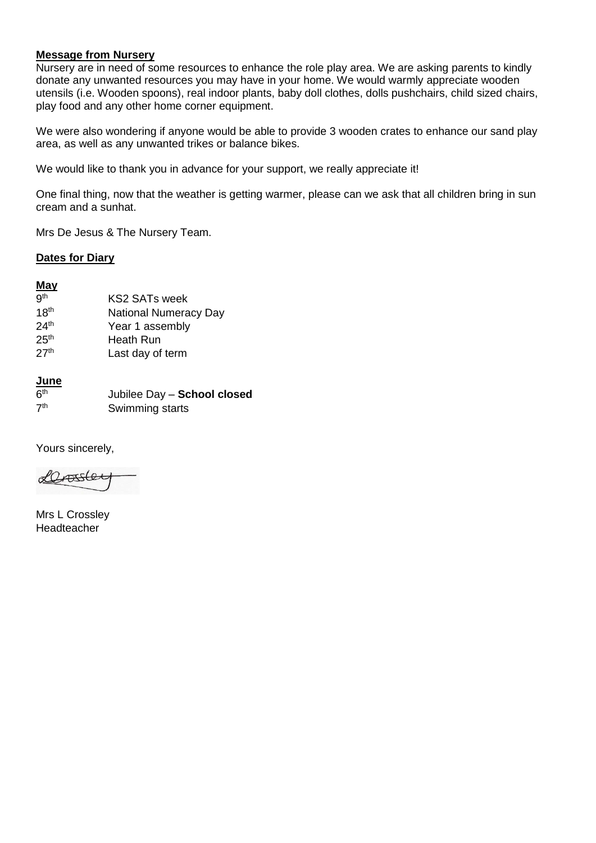## **Message from Nursery**

Nursery are in need of some resources to enhance the role play area. We are asking parents to kindly donate any unwanted resources you may have in your home. We would warmly appreciate wooden utensils (i.e. Wooden spoons), real indoor plants, baby doll clothes, dolls pushchairs, child sized chairs, play food and any other home corner equipment.

We were also wondering if anyone would be able to provide 3 wooden crates to enhance our sand play area, as well as any unwanted trikes or balance bikes.

We would like to thank you in advance for your support, we really appreciate it!

One final thing, now that the weather is getting warmer, please can we ask that all children bring in sun cream and a sunhat.

Mrs De Jesus & The Nursery Team.

### **Dates for Diary**

## **May**

- **gth** KS2 SATs week 18<sup>th</sup> National Numeracy Day 24<sup>th</sup> Year 1 assembly
- 25<sup>th</sup> Heath Run 27<sup>th</sup> Last day of term

# **June**

| 6 <sup>th</sup> | Jubilee Day - School closed |
|-----------------|-----------------------------|
| 7 <sup>th</sup> | Swimming starts             |

Yours sincerely,

Lassle

Mrs L Crossley Headteacher